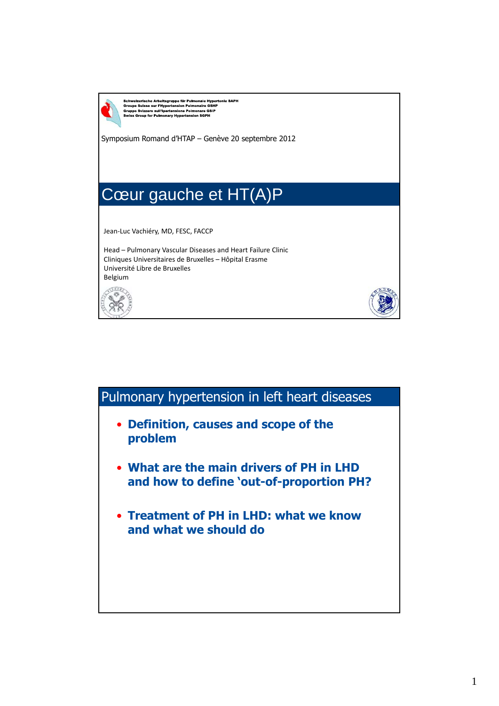

Schweizerische Arbeitsgruppe für Pulmonale Hypertonie SAPH<br>Groupe Suisse sur l'Hypertension Pulmonaire GSHP<br>Gruppo Svizzero sull'Ipertensione Polmonare GSIP<br>Swiss Group for Pulmonary Hypertension SGPH

Symposium Romand d'HTAP – Genève 20 septembre 2012

## Cœur gauche et HT(A)P

Jean‐Luc Vachiéry, MD, FESC, FACCP

Head – Pulmonary Vascular Diseases and Heart Failure Clinic Cliniques Universitaires de Bruxelles – Hôpital Erasme Université Libre de Bruxelles Belgium



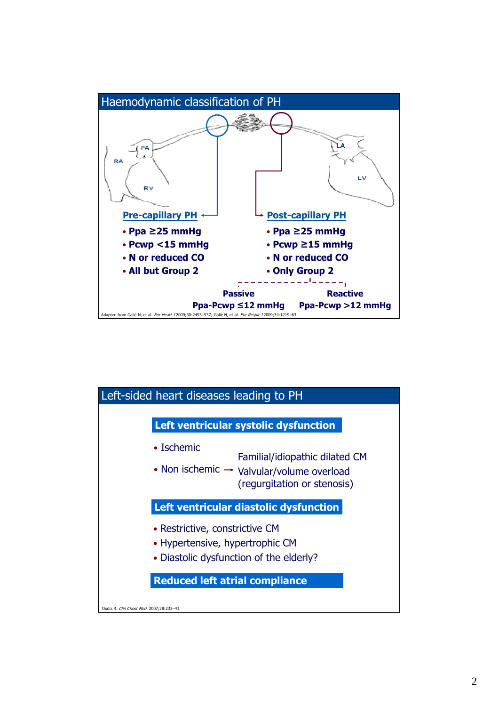

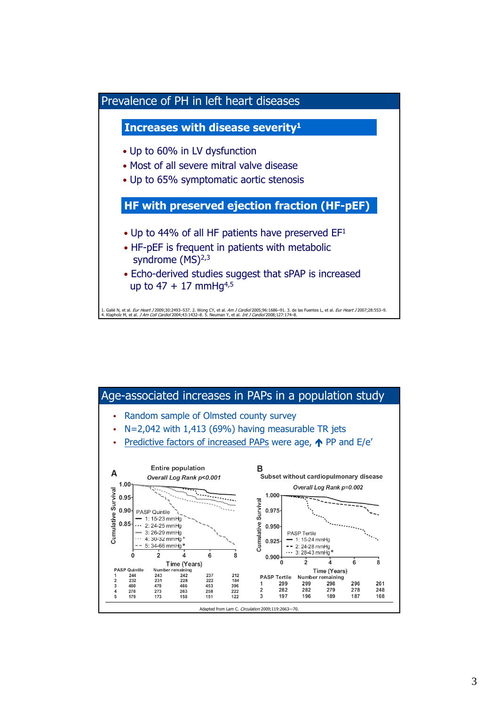

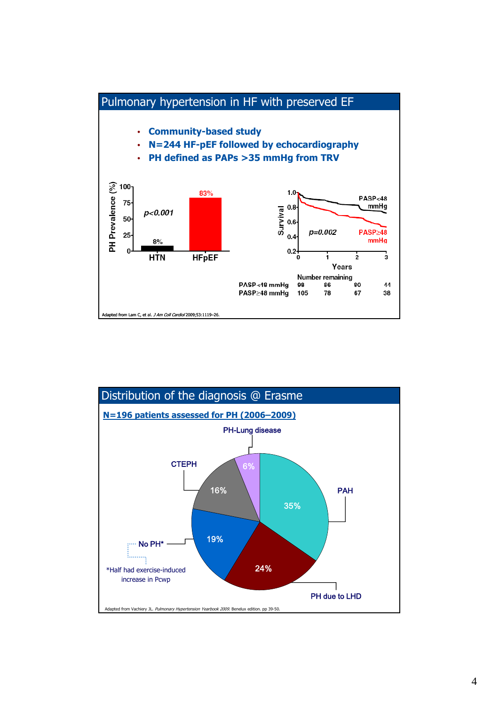

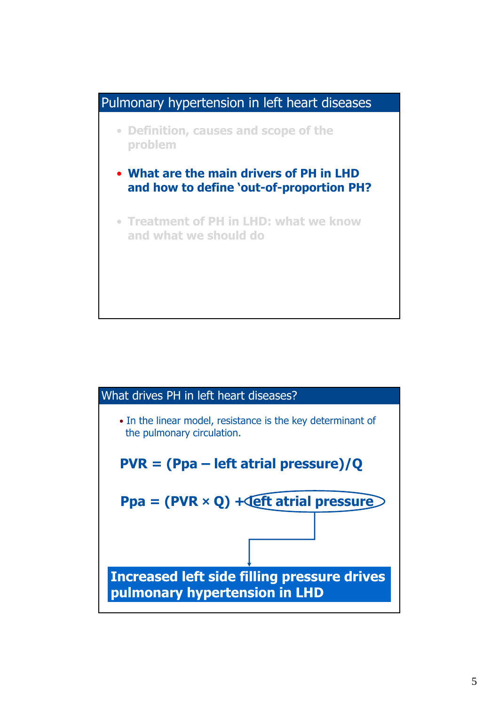

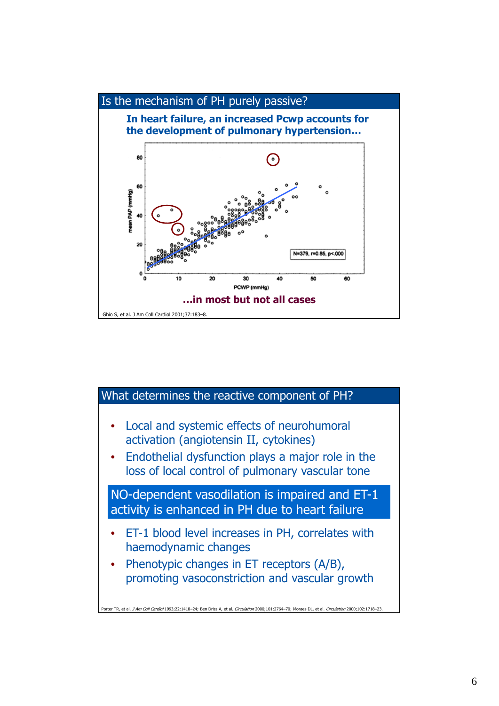

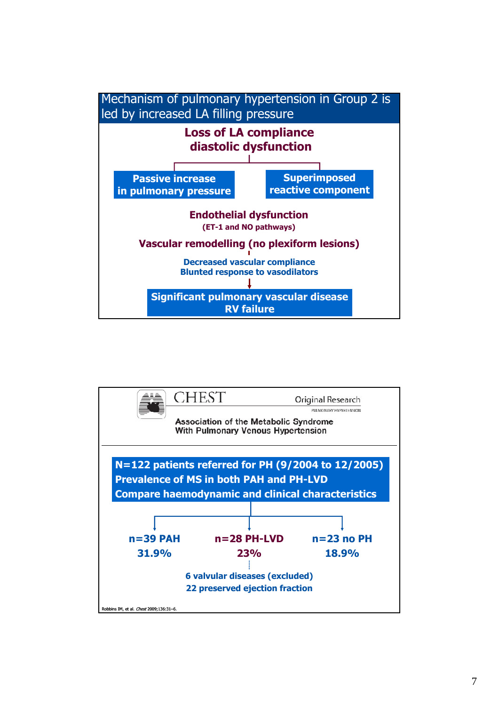

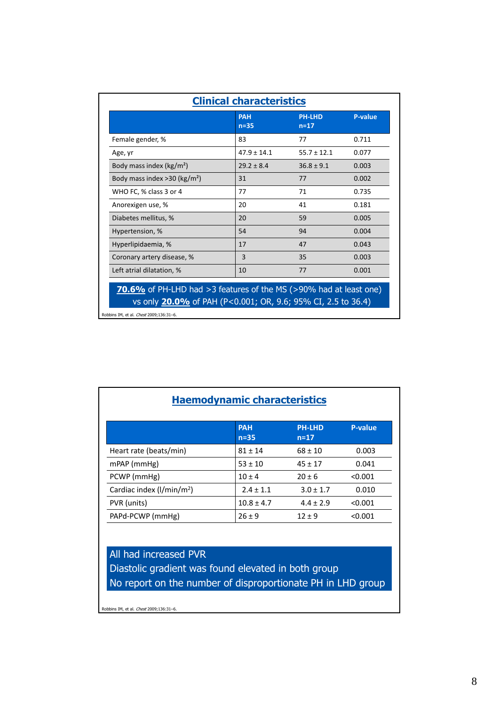| <b>PAH</b><br><b>PH-LHD</b><br><b>P-value</b><br>$n=35$<br>$n=17$ |                 |                 |       |  |  |  |
|-------------------------------------------------------------------|-----------------|-----------------|-------|--|--|--|
| Female gender, %                                                  | 83              | 77              | 0.711 |  |  |  |
| Age, yr                                                           | $47.9 \pm 14.1$ | $55.7 \pm 12.1$ | 0.077 |  |  |  |
| Body mass index ( $\text{kg/m}^2$ )                               | $29.2 \pm 8.4$  | $36.8 \pm 9.1$  | 0.003 |  |  |  |
| Body mass index $>$ 30 (kg/m <sup>2</sup> )                       | 31              | 77              | 0.002 |  |  |  |
| WHO FC, % class 3 or 4                                            | 77              | 71              | 0.735 |  |  |  |
| Anorexigen use, %                                                 | 20              | 41              | 0.181 |  |  |  |
| Diabetes mellitus, %                                              | 20              | 59              | 0.005 |  |  |  |
| Hypertension, %                                                   | 54              | 94              | 0.004 |  |  |  |
| Hyperlipidaemia, %                                                | 17              | 47              | 0.043 |  |  |  |
| Coronary artery disease, %                                        | 3               | 35              | 0.003 |  |  |  |
| Left atrial dilatation, %                                         | 10              | 77              | 0.001 |  |  |  |

Robbins IM, et al. *Chest* 2009;136:31-6.

| <b>Haemodynamic characteristics</b>                   |                      |                           |                |  |  |  |
|-------------------------------------------------------|----------------------|---------------------------|----------------|--|--|--|
|                                                       | <b>PAH</b><br>$n=35$ | <b>PH-LHD</b><br>$n = 17$ | <b>P-value</b> |  |  |  |
| Heart rate (beats/min)                                | $81 \pm 14$          | $68 \pm 10$               | 0.003          |  |  |  |
| $m$ PAP ( $mm$ Hg)                                    | $53 \pm 10$          | $45 \pm 17$               | 0.041          |  |  |  |
| PCWP (mmHg)                                           | $10 + 4$             | $20 + 6$                  | < 0.001        |  |  |  |
| Cardiac index $\frac{1}{\text{min}}$ m <sup>2</sup> ) | $2.4 + 1.1$          | $3.0 + 1.7$               | 0.010          |  |  |  |
| PVR (units)                                           | $10.8 \pm 4.7$       | $4.4 \pm 2.9$             | < 0.001        |  |  |  |
| PAPd-PCWP (mmHg)                                      | $26 \pm 9$           | $12 + 9$                  | < 0.001        |  |  |  |

All had increased PVR Diastolic gradient was found elevated in both group No report on the number of disproportionate PH in LHD group

Robbins IM, et al. Chest 2009;136:31–6.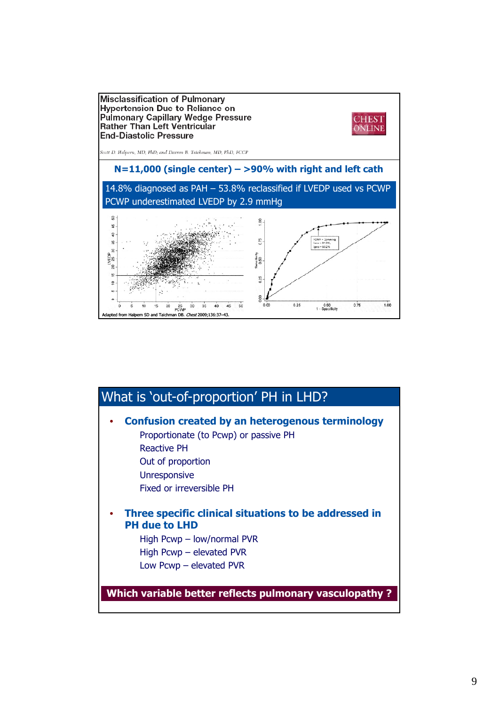

| What is 'out-of-proportion' PH in LHD?                                                                                                                                                  |
|-----------------------------------------------------------------------------------------------------------------------------------------------------------------------------------------|
| <b>Confusion created by an heterogenous terminology</b><br>Proportionate (to Pcwp) or passive PH<br>Reactive PH<br>Out of proportion<br><b>Unresponsive</b><br>Fixed or irreversible PH |
| Three specific clinical situations to be addressed in<br><b>PH due to LHD</b><br>High Pcwp - low/normal PVR<br>High Pcwp - elevated PVR<br>Low Pcwp $-$ elevated PVR                    |
| Which variable better reflects pulmonary vasculopathy?                                                                                                                                  |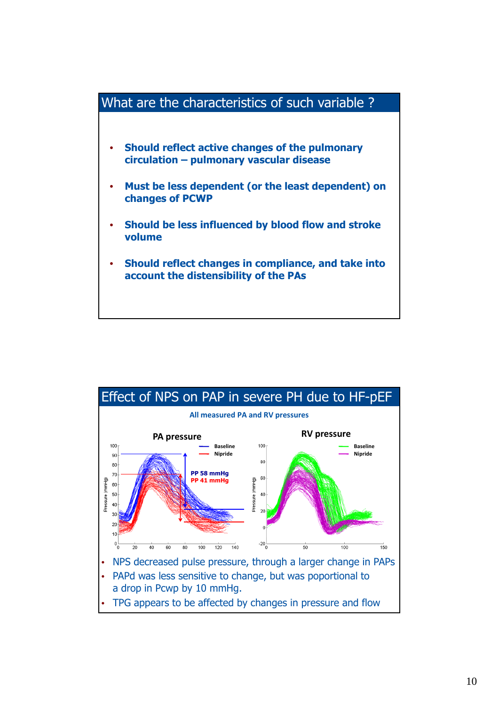

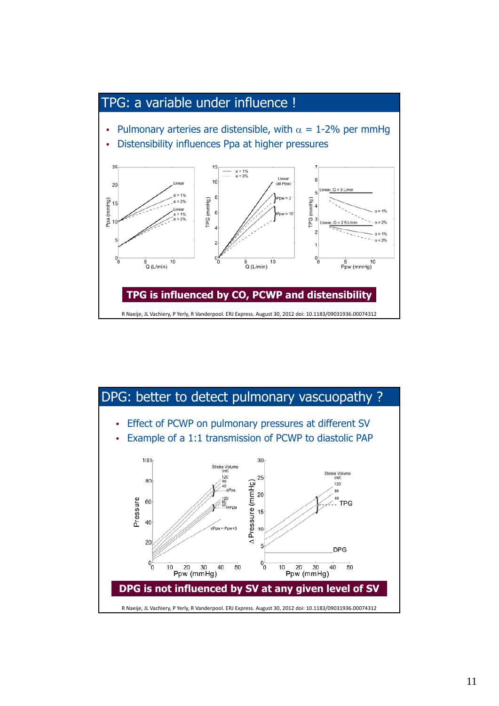

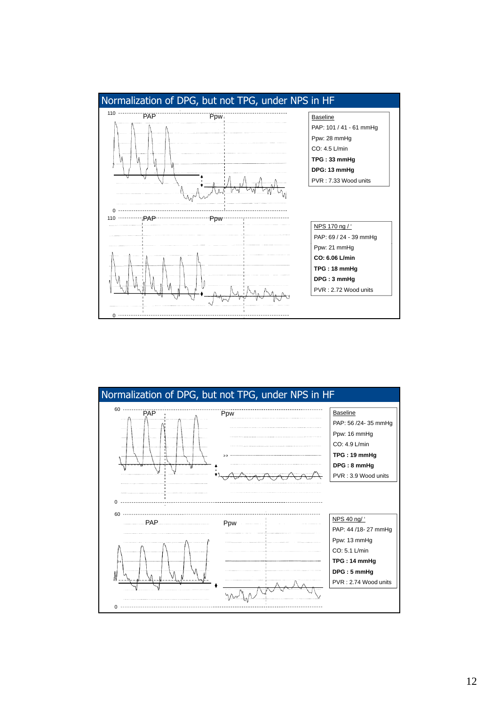

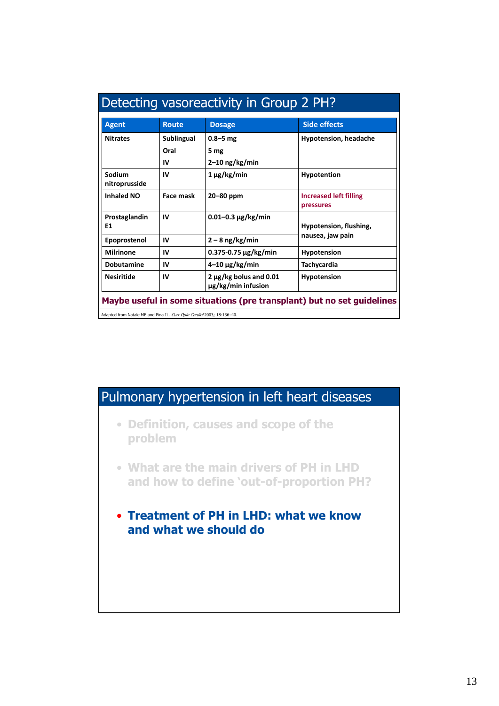| <b>Agent</b>            | <b>Side effects</b><br><b>Route</b><br><b>Dosage</b>                   |                                              |                                            |  |  |  |  |  |
|-------------------------|------------------------------------------------------------------------|----------------------------------------------|--------------------------------------------|--|--|--|--|--|
| <b>Nitrates</b>         | Sublingual                                                             | $0.8 - 5$ mg<br><b>Hypotension, headache</b> |                                            |  |  |  |  |  |
| Oral<br>5 mg            |                                                                        |                                              |                                            |  |  |  |  |  |
| $2-10$ ng/kg/min<br>IV  |                                                                        |                                              |                                            |  |  |  |  |  |
| Sodium<br>nitroprusside | IV                                                                     | $1 \mu$ g/kg/min                             | <b>Hypotention</b>                         |  |  |  |  |  |
| <b>Inhaled NO</b>       | Face mask                                                              | 20-80 ppm                                    | <b>Increased left filling</b><br>pressures |  |  |  |  |  |
| Prostaglandin<br>E1     | IV                                                                     | Hypotension, flushing,                       |                                            |  |  |  |  |  |
| Epoprostenol            | nausea, jaw pain<br>$2 - 8$ ng/kg/min<br>IV                            |                                              |                                            |  |  |  |  |  |
| <b>Milrinone</b>        | IV                                                                     | $0.375 - 0.75 \mu g/kg/min$                  | <b>Hypotension</b>                         |  |  |  |  |  |
| <b>Dobutamine</b>       | IV                                                                     | $4-10 \mu g/kg/min$                          | Tachycardia                                |  |  |  |  |  |
| <b>Nesiritide</b>       | $2 \mu g/kg$ bolus and 0.01<br>IV<br>Hypotension<br>μg/kg/min infusion |                                              |                                            |  |  |  |  |  |

## Pulmonary hypertension in left heart diseases

- **Definition, causes and scope of the problem**
- **What are the main drivers of PH in LHD and how to define 'out-of-proportion PH?**
- **Treatment of PH in LHD: what we know and what we should do**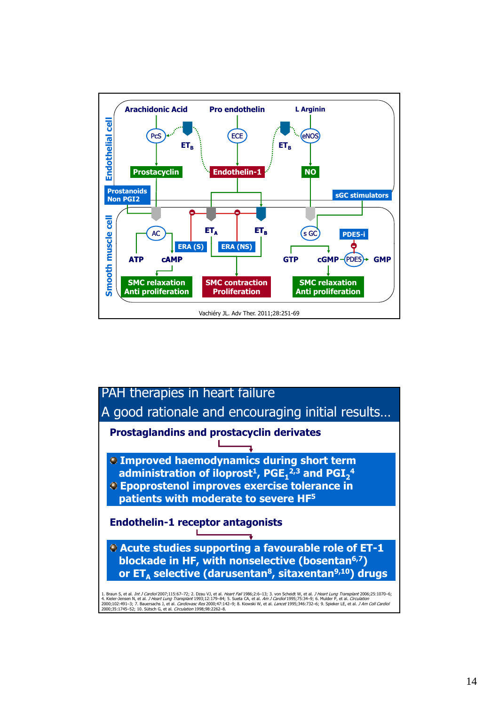

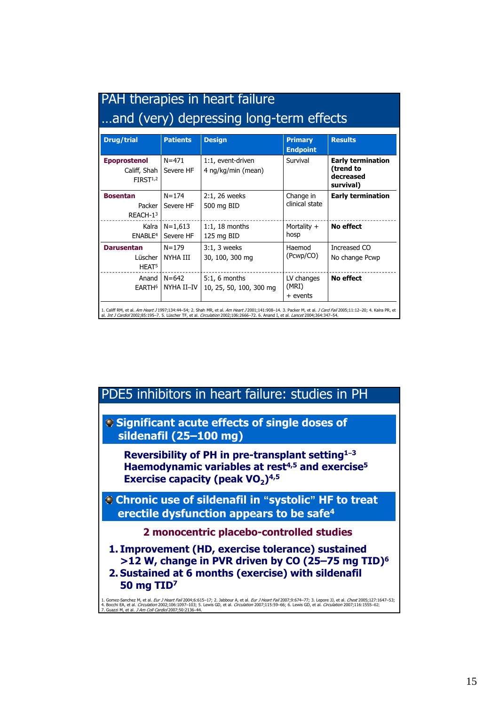| and (very) depressing long-term effects                     |                         |                                            |                                   |                                                                 |  |  |
|-------------------------------------------------------------|-------------------------|--------------------------------------------|-----------------------------------|-----------------------------------------------------------------|--|--|
| <b>Drug/trial</b>                                           | <b>Patients</b>         | <b>Design</b>                              | <b>Primary</b><br><b>Endpoint</b> | <b>Results</b>                                                  |  |  |
| <b>Epoprostenol</b><br>Califf, Shah<br>FIRST <sup>1,2</sup> | $N = 471$<br>Severe HF  | 1:1, event-driven<br>4 ng/kg/min (mean)    | Survival                          | <b>Early termination</b><br>(trend to<br>decreased<br>survival) |  |  |
| <b>Bosentan</b><br>Packer<br>REACH-13                       | $N = 174$<br>Severe HF  | 2:1, 26 weeks<br>500 mg BID                | Change in<br>clinical state       | <b>Early termination</b>                                        |  |  |
| Kalra<br>ENABLE <sup>4</sup>                                | $N=1,613$<br>Severe HF  | $1:1, 18$ months<br>125 mg BID             | Mortality +<br>hosp               | No effect                                                       |  |  |
| <b>Darusentan</b><br>Lüscher<br>HEAT <sup>5</sup>           | $N = 179$<br>NYHA III   | $3:1, 3$ weeks<br>30, 100, 300 mg          | Haemod<br>(Pcwp/CO)               | Increased CO<br>No change Pcwp                                  |  |  |
| Anand I<br>EARTH <sup>6</sup>                               | $N = 642$<br>NYHA II-IV | $5:1, 6$ months<br>10, 25, 50, 100, 300 mg | LV changes<br>(MRI)<br>+ events   | No effect                                                       |  |  |

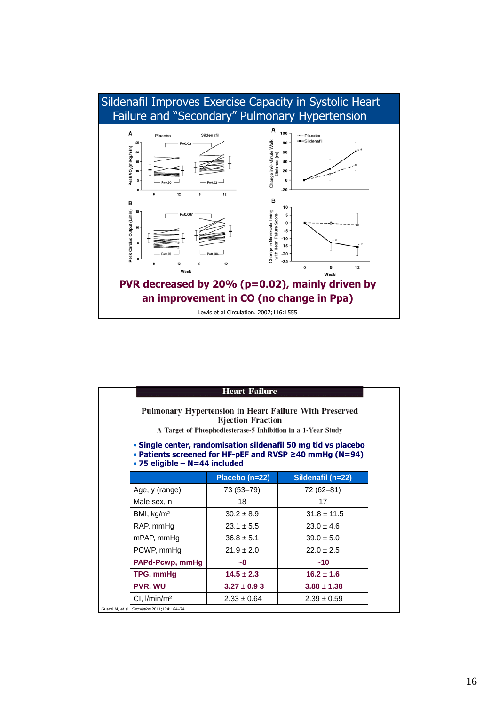

|                                               | <b>Heart Failure</b><br>Pulmonary Hypertension in Heart Failure With Preserved<br><b>Ejection Fraction</b><br>A Target of Phosphodiesterase-5 Inhibition in a 1-Year Study<br>• Single center, randomisation sildenafil 50 mg tid vs placebo<br>• Patients screened for HF-pEF and RVSP $\geq$ 40 mmHg (N=94)<br>• 75 eligible - N=44 included |                 |  |  |  |  |  |  |
|-----------------------------------------------|------------------------------------------------------------------------------------------------------------------------------------------------------------------------------------------------------------------------------------------------------------------------------------------------------------------------------------------------|-----------------|--|--|--|--|--|--|
|                                               | Sildenafil (n=22)<br>Placebo (n=22)                                                                                                                                                                                                                                                                                                            |                 |  |  |  |  |  |  |
| Age, y (range)                                | 73 (53–79)                                                                                                                                                                                                                                                                                                                                     | 72 (62–81)      |  |  |  |  |  |  |
| Male sex, n                                   | 18                                                                                                                                                                                                                                                                                                                                             | 17              |  |  |  |  |  |  |
| BMI, kg/m <sup>2</sup>                        | $30.2 \pm 8.9$                                                                                                                                                                                                                                                                                                                                 | $31.8 \pm 11.5$ |  |  |  |  |  |  |
| RAP, mmHg                                     | $23.1 \pm 5.5$<br>$23.0 \pm 4.6$                                                                                                                                                                                                                                                                                                               |                 |  |  |  |  |  |  |
| mPAP, mmHg                                    | $36.8 \pm 5.1$<br>$39.0 \pm 5.0$                                                                                                                                                                                                                                                                                                               |                 |  |  |  |  |  |  |
| PCWP, mmHq                                    | $21.9 \pm 2.0$<br>$22.0 + 2.5$                                                                                                                                                                                                                                                                                                                 |                 |  |  |  |  |  |  |
| PAPd-Pcwp, mmHg                               | $-8$                                                                                                                                                                                                                                                                                                                                           | ~10             |  |  |  |  |  |  |
| TPG, mmHg                                     | $14.5 + 2.3$                                                                                                                                                                                                                                                                                                                                   |                 |  |  |  |  |  |  |
| <b>PVR, WU</b>                                | $3.27 \pm 0.93$                                                                                                                                                                                                                                                                                                                                | $3.88 \pm 1.38$ |  |  |  |  |  |  |
| Cl, I/min/m <sup>2</sup>                      | $2.33 \pm 0.64$                                                                                                                                                                                                                                                                                                                                | $2.39 \pm 0.59$ |  |  |  |  |  |  |
| Guazzi M, et al. Circulation 2011;124:164-74. |                                                                                                                                                                                                                                                                                                                                                |                 |  |  |  |  |  |  |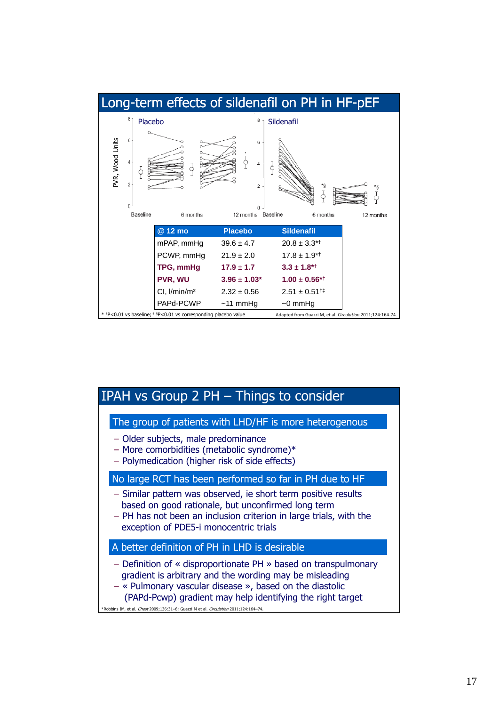

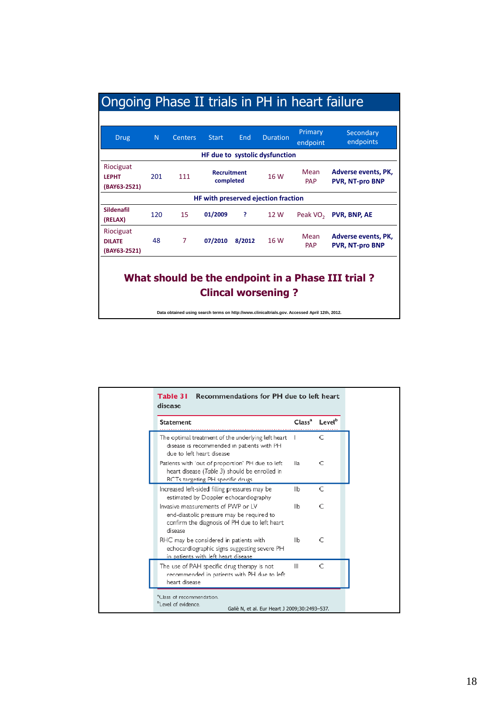| <b>Drug</b>                                                                                                                                                               | N   | <b>Centers</b> | <b>Start</b> | End    | <b>Duration</b>                | Primary<br>endpoint  | Secondary<br>endpoints                               |  |  |
|---------------------------------------------------------------------------------------------------------------------------------------------------------------------------|-----|----------------|--------------|--------|--------------------------------|----------------------|------------------------------------------------------|--|--|
|                                                                                                                                                                           |     |                |              |        | HF due to systolic dysfunction |                      |                                                      |  |  |
| Riociguat<br>Mean<br>Adverse events, PK,<br><b>Recruitment</b><br>16 W<br>201<br>111<br><b>LFPHT</b><br>completed<br><b>PVR, NT-pro BNP</b><br><b>PAP</b><br>(BAY63-2521) |     |                |              |        |                                |                      |                                                      |  |  |
| HF with preserved ejection fraction                                                                                                                                       |     |                |              |        |                                |                      |                                                      |  |  |
| Sildenafil<br>(RELAX)                                                                                                                                                     | 120 | 15             | 01/2009      | ş.     | 12 W                           | Peak VO <sub>2</sub> | <b>PVR, BNP, AE</b>                                  |  |  |
| Riociguat<br><b>DILATF</b><br>(BAY63-2521)                                                                                                                                | 48  | 7              | 07/2010      | 8/2012 | 16 W                           | Mean<br><b>PAP</b>   | <b>Adverse events, PK.</b><br><b>PVR. NT-pro BNP</b> |  |  |
| What should be the endpoint in a Phase III trial?<br><b>Clincal worsening?</b>                                                                                            |     |                |              |        |                                |                      |                                                      |  |  |

**Data obtained using search terms on http://www.clinicaltrials.gov. Accessed April 12th, 2012.**

| <b>Statement</b>                                                                                                                            | Class <sup>a</sup> | Level <sup>b</sup> |  |
|---------------------------------------------------------------------------------------------------------------------------------------------|--------------------|--------------------|--|
| The optimal treatment of the underlying left heart<br>disease is recommended in patients with PH<br>due to left heart disease               |                    | C                  |  |
| Patients with 'out of proportion' PH due to left<br>heart disease (Table 3) should be enrolled in<br>RCTs targeting PH specific drugs       | lla                | C                  |  |
| Increased left-sided filling pressures may be<br>estimated by Doppler echocardiography                                                      | llb                | C                  |  |
| Invasive measurements of PWP or LV<br>end-diastolic pressure may be required to<br>confirm the diagnosis of PH due to left heart<br>disease | llb                | C                  |  |
| RHC may be considered in patients with<br>echocardiographic signs suggesting severe PH<br>in patients with left heart disease               | llb                | C                  |  |
| The use of PAH specific drug therapy is not<br>recommended in patients with PH due to left<br>heart disease                                 | Ш                  | C                  |  |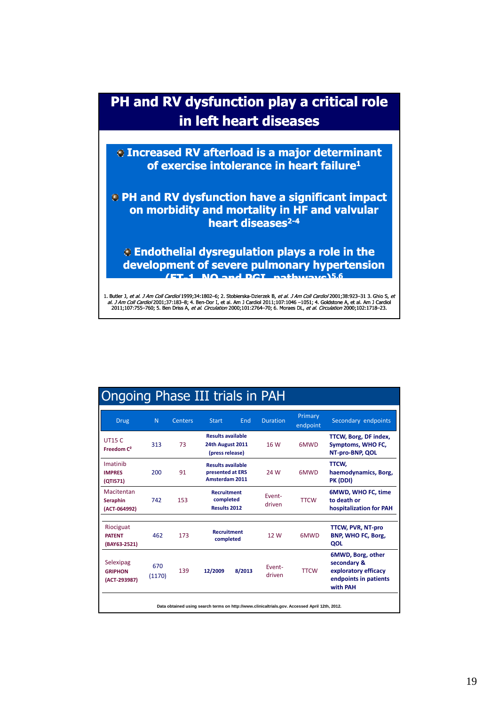## **PH and RV dysfunction play a critical role in left heart diseases**

**Increased RV afterload is a major determinant of exercise intolerance in heart failure1 of exercise intolerance in heart failure**

**PH and RV dysfunction have a significant impact on morbidity and mortality in HF and valvular heart diseases2-4**

**Endothelial dysregulation plays a role in the development of severe pulmonary hypertension (ET-1, NO and PGI 1, PGI2 pathways)5,6**

1. Butler J*, et al. J Am Coll Cardiol* 1999;34:1802–6; 2. Stobierska-Dzierzek B*, et al. J Am Coll Cardiol* 2001;38:923–31 3. Ghio S*, et*<br>*al. J Am Coll Cardiol* 2001;37:183–8; 4. Ben-Dor I, et al. Am J Cardiol 2011;107:

Ongoing Phase III trials in PAH

| <b>Drug</b>                                 | N.            | Centers | <b>Start</b>                                                          | End    | <b>Duration</b>  | Primary<br>endpoint                                                                           | Secondary endpoints                                                                           |
|---------------------------------------------|---------------|---------|-----------------------------------------------------------------------|--------|------------------|-----------------------------------------------------------------------------------------------|-----------------------------------------------------------------------------------------------|
| <b>UT15 C</b><br>Freedom $C^2$              | 313           | 73      | <b>Results available</b><br>24th August 2011<br>(press release)       |        | 16 W             | 6MWD                                                                                          | TTCW, Borg, DF index,<br>Symptoms, WHO FC,<br>NT-pro-BNP, QOL                                 |
| Imatinib<br><b>IMPRES</b><br>(QTI571)       | 200           | 91      | <b>Results available</b><br>presented at ERS<br><b>Amsterdam 2011</b> |        | 24 W             | <b>6MWD</b>                                                                                   | TTCW,<br>haemodynamics, Borg,<br>PK (DDI)                                                     |
| Macitentan<br>Seraphin<br>(ACT-064992)      | 742           | 153     | <b>Recruitment</b><br>completed<br><b>Results 2012</b>                |        | Fvent-<br>driven | <b>TTCW</b>                                                                                   | 6MWD, WHO FC, time<br>to death or<br>hospitalization for PAH                                  |
|                                             |               |         |                                                                       |        |                  |                                                                                               |                                                                                               |
| Riociguat<br><b>PATFNT</b><br>(BAY63-2521)  | 462           | 173     | <b>Recruitment</b><br>completed                                       |        | 12 W             | 6MWD                                                                                          | <b>TTCW, PVR, NT-pro</b><br>BNP, WHO FC, Borg,<br>QOL                                         |
| Selexipag<br><b>GRIPHON</b><br>(ACT-293987) | 670<br>(1170) | 139     | 12/2009                                                               | 8/2013 | Event-<br>driven | <b>TTCW</b>                                                                                   | 6MWD, Borg, other<br>secondary &<br>exploratory efficacy<br>endpoints in patients<br>with PAH |
|                                             |               |         |                                                                       |        |                  | Data obtained using search terms on http://www.clinicaltrials.gov. Accessed April 12th, 2012. |                                                                                               |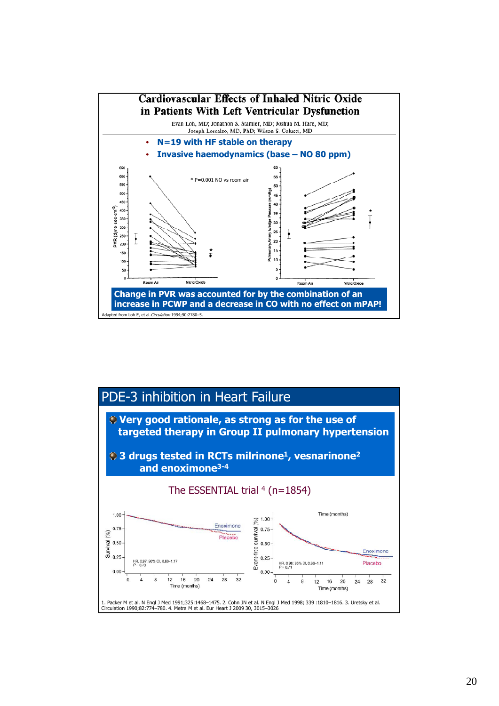